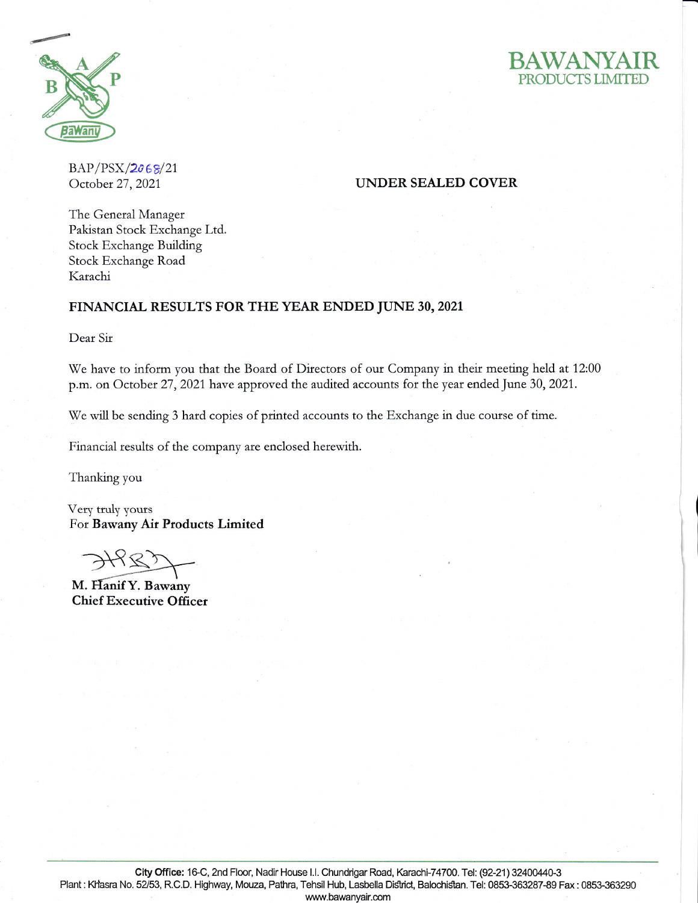



 $BAP/PSX/2068/21$ October 27, 2021

## UNDER SEALED COVER

The General Manager Pakistan Stock Exchange Ltd. Stock Exchange Building Stock Exchange Road Karachi

## FINANCIAL RESULTS FOR THE YEAR ENDED JUNE 3O,2O2I

Dear Sir

We have to inform you that the Board of Directors of our Company in their meeting held at 12:00 p.m. on October 27, 2021 have approved the audited accounts for the year ended June 30, 2021.

We will be sending 3 hard copies of printed accounts to the Exchange in due course of time.

Financial results of the company are enclosed herewith.

Thanking you

Very truly youts Fot Bawany Air Products Limited

 $\rightarrow$   $\mathcal{H}$ 

M. Hanif Y. Bawany Chief Executive Officer